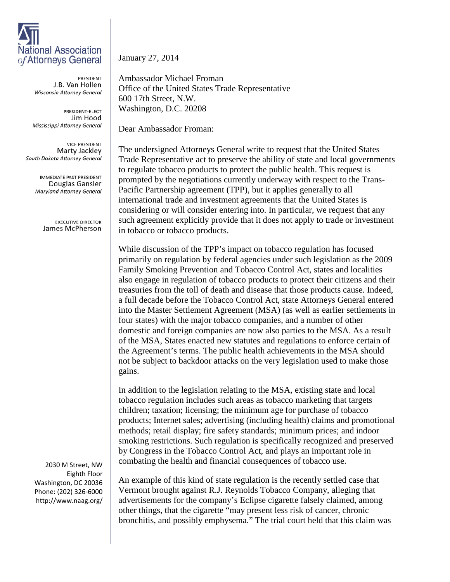## **National Association** of Attorneys General

PRESIDENT J.B. Van Hollen Wisconsin Attorney General

PRESIDENT-ELECT Jim Hood Mississippi Attorney General

**VICE PRESIDENT** Marty Jackley South Dakota Attorney General

> **IMMEDIATE PAST PRESIDENT** Douglas Gansler Maryland Attorney General

> > **EXECUTIVE DIRECTOR** James McPherson

2030 M Street, NW Eighth Floor Washington, DC 20036 Phone: (202) 326-6000 http://www.naag.org/ January 27, 2014

Ambassador Michael Froman Office of the United States Trade Representative 600 17th Street, N.W. Washington, D.C. 20208

Dear Ambassador Froman:

The undersigned Attorneys General write to request that the United States Trade Representative act to preserve the ability of state and local governments to regulate tobacco products to protect the public health. This request is prompted by the negotiations currently underway with respect to the Trans-Pacific Partnership agreement (TPP), but it applies generally to all international trade and investment agreements that the United States is considering or will consider entering into. In particular, we request that any such agreement explicitly provide that it does not apply to trade or investment in tobacco or tobacco products.

While discussion of the TPP's impact on tobacco regulation has focused primarily on regulation by federal agencies under such legislation as the 2009 Family Smoking Prevention and Tobacco Control Act, states and localities also engage in regulation of tobacco products to protect their citizens and their treasuries from the toll of death and disease that those products cause. Indeed, a full decade before the Tobacco Control Act, state Attorneys General entered into the Master Settlement Agreement (MSA) (as well as earlier settlements in four states) with the major tobacco companies, and a number of other domestic and foreign companies are now also parties to the MSA. As a result of the MSA, States enacted new statutes and regulations to enforce certain of the Agreement's terms. The public health achievements in the MSA should not be subject to backdoor attacks on the very legislation used to make those gains.

In addition to the legislation relating to the MSA, existing state and local tobacco regulation includes such areas as tobacco marketing that targets children; taxation; licensing; the minimum age for purchase of tobacco products; Internet sales; advertising (including health) claims and promotional methods; retail display; fire safety standards; minimum prices; and indoor smoking restrictions. Such regulation is specifically recognized and preserved by Congress in the Tobacco Control Act, and plays an important role in combating the health and financial consequences of tobacco use.

An example of this kind of state regulation is the recently settled case that Vermont brought against R.J. Reynolds Tobacco Company, alleging that advertisements for the company's Eclipse cigarette falsely claimed, among other things, that the cigarette "may present less risk of cancer, chronic bronchitis, and possibly emphysema." The trial court held that this claim was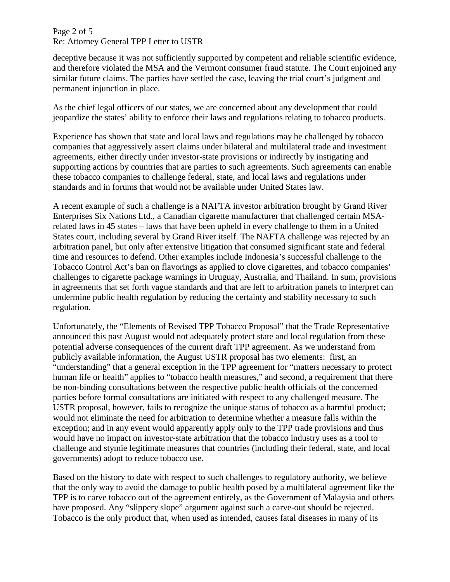## Page 2 of 5 Re: Attorney General TPP Letter to USTR

deceptive because it was not sufficiently supported by competent and reliable scientific evidence, and therefore violated the MSA and the Vermont consumer fraud statute. The Court enjoined any similar future claims. The parties have settled the case, leaving the trial court's judgment and permanent injunction in place.

As the chief legal officers of our states, we are concerned about any development that could jeopardize the states' ability to enforce their laws and regulations relating to tobacco products.

Experience has shown that state and local laws and regulations may be challenged by tobacco companies that aggressively assert claims under bilateral and multilateral trade and investment agreements, either directly under investor-state provisions or indirectly by instigating and supporting actions by countries that are parties to such agreements. Such agreements can enable these tobacco companies to challenge federal, state, and local laws and regulations under standards and in forums that would not be available under United States law.

A recent example of such a challenge is a NAFTA investor arbitration brought by Grand River Enterprises Six Nations Ltd., a Canadian cigarette manufacturer that challenged certain MSArelated laws in 45 states – laws that have been upheld in every challenge to them in a United States court, including several by Grand River itself. The NAFTA challenge was rejected by an arbitration panel, but only after extensive litigation that consumed significant state and federal time and resources to defend. Other examples include Indonesia's successful challenge to the Tobacco Control Act's ban on flavorings as applied to clove cigarettes, and tobacco companies' challenges to cigarette package warnings in Uruguay, Australia, and Thailand. In sum, provisions in agreements that set forth vague standards and that are left to arbitration panels to interpret can undermine public health regulation by reducing the certainty and stability necessary to such regulation.

Unfortunately, the "Elements of Revised TPP Tobacco Proposal" that the Trade Representative announced this past August would not adequately protect state and local regulation from these potential adverse consequences of the current draft TPP agreement. As we understand from publicly available information, the August USTR proposal has two elements: first, an "understanding" that a general exception in the TPP agreement for "matters necessary to protect human life or health" applies to "tobacco health measures," and second, a requirement that there be non-binding consultations between the respective public health officials of the concerned parties before formal consultations are initiated with respect to any challenged measure. The USTR proposal, however, fails to recognize the unique status of tobacco as a harmful product; would not eliminate the need for arbitration to determine whether a measure falls within the exception; and in any event would apparently apply only to the TPP trade provisions and thus would have no impact on investor-state arbitration that the tobacco industry uses as a tool to challenge and stymie legitimate measures that countries (including their federal, state, and local governments) adopt to reduce tobacco use.

Based on the history to date with respect to such challenges to regulatory authority, we believe that the only way to avoid the damage to public health posed by a multilateral agreement like the TPP is to carve tobacco out of the agreement entirely, as the Government of Malaysia and others have proposed. Any "slippery slope" argument against such a carve-out should be rejected. Tobacco is the only product that, when used as intended, causes fatal diseases in many of its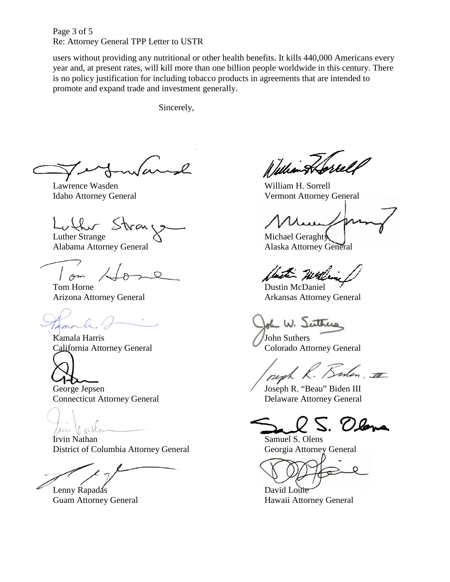Page 3 of 5 Re: Attorney General TPP Letter to USTR

users without providing any nutritional or other health benefits. It kills 440,000 Americans every year and, at present rates, will kill more than one billion people worldwide in this century. There is no policy justification for including tobacco products in agreements that are intended to promote and expand trade and investment generally.

Sincerely,

Lawrence Wasden William H. Sorrell

Luther Strange Michael Geraghty

Alabama Attorney General Alaska Attorney General

 $\sqrt{2m}$ 

Tom Horne Dustin McDaniel

conorde

Kamala Harris (John Suthers)

1≁

Connecticut Attorney General Delaware Attorney General

un lo alla

Irvin Nathan Samuel S. Olens District of Columbia Attorney General Georgia Attorney General

Lenny Rapadas David Louie

William Horrell

Idaho Attorney General Vermont Attorney General

hit wa

Arizona Attorney General Arkansas Attorney General

John W. Suttress

California Attorney General Colorado Attorney General

George Jepsen Joseph R. "Beau" Biden III

5. Olena

Guam Attorney General Hawaii Attorney General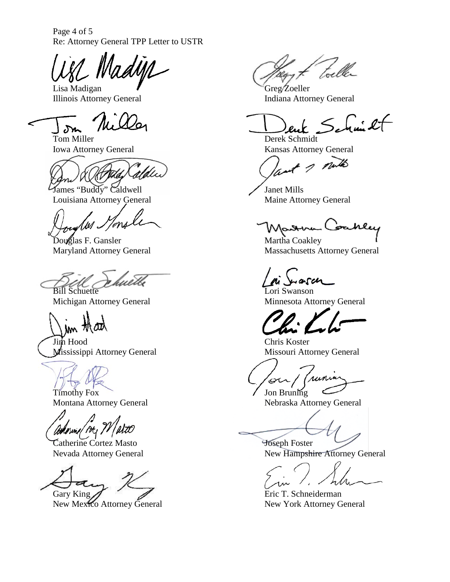Page 4 of 5 Re: Attorney General TPP Letter to USTR

Lisa Madigan **Greg** Zoeller Illinois Attorney General Indiana Attorney General

James "Buddy" Caldwell Janet Mills Louisiana Attorney General Maine Attorney General

huèth Bill Schuette Lori Swanson

Jun that

Jim Hood<br>
Mississippi Attorney General<br>
Missouri Attorney General<br>
Missouri Attorney General Mississippi Attorney General

Timothy Fox  $\bigcup$  Jon Bruning<br>Montana Attorney General Nebraska Att

Adornie / At /

Tatherine Cortez Masto<br>
New Hampshi<br>
New Hampshi

Gary King  $\bigotimes$  Eric T. Schneiderman

New Mexico Attorney General New York Attorney General

 $\leq$  function let

Tom Miller Derek Schmidt Iowa Attorney General Kansas Attorney General

and I mills

Martha Coakley<br>Douglas F. Gansler Martha Coakley<br>Martha Coakley Martha Coakley<br>Massachusetts Attorney General Massachusetts Attorney General Massachusetts Attorney General

Michigan Attorney General Minnesota Attorney General

(runia  $\sigma$ 

Nebraska Attorney General

New Hampshire Attorney General